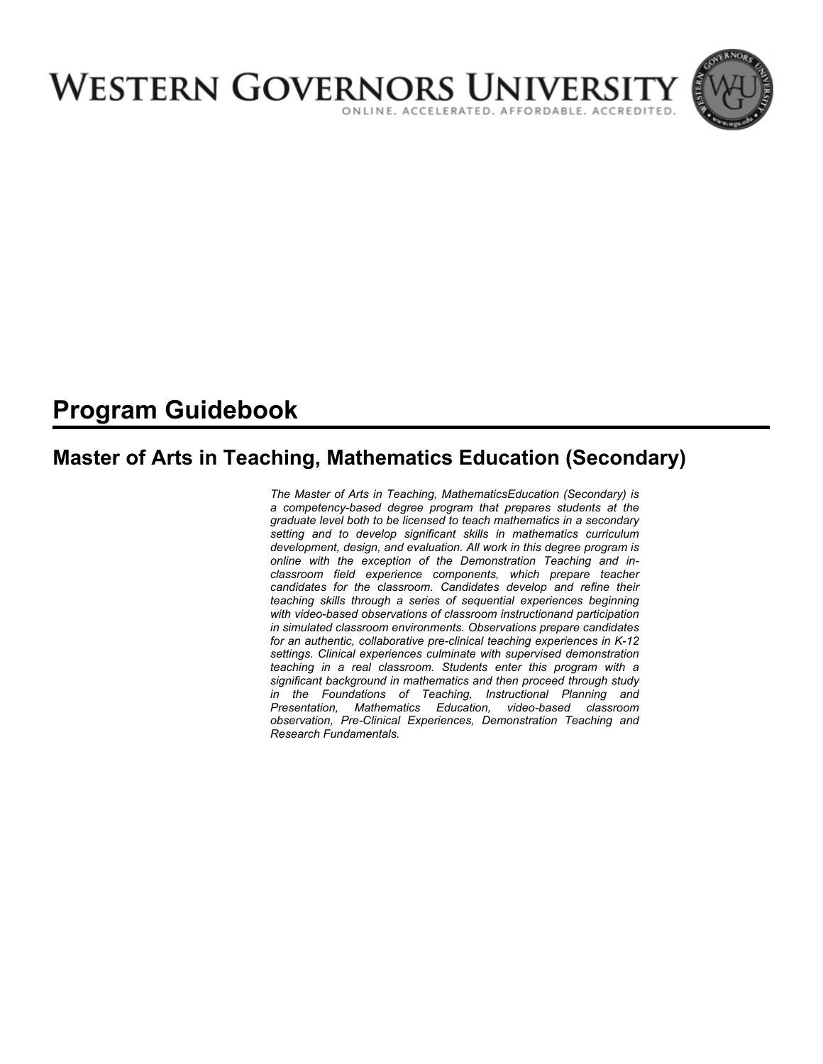

# **Program Guidebook**

# **Master of Arts in Teaching, Mathematics Education (Secondary)**

*The Master of Arts in Teaching, MathematicsEducation (Secondary) is a competency-based degree program that prepares students at the graduate level both to be licensed to teach mathematics in a secondary setting and to develop significant skills in mathematics curriculum development, design, and evaluation. All work in this degree program is online with the exception of the Demonstration Teaching and inclassroom field experience components, which prepare teacher candidates for the classroom. Candidates develop and refine their teaching skills through a series of sequential experiences beginning with video-based observations of classroom instructionand participation in simulated classroom environments. Observations prepare candidates for an authentic, collaborative pre-clinical teaching experiences in K-12 settings. Clinical experiences culminate with supervised demonstration teaching in a real classroom. Students enter this program with a significant background in mathematics and then proceed through study in the Foundations of Teaching, Instructional Planning and Presentation, Mathematics Education, video-based classroom observation, Pre-Clinical Experiences, Demonstration Teaching and Research Fundamentals.*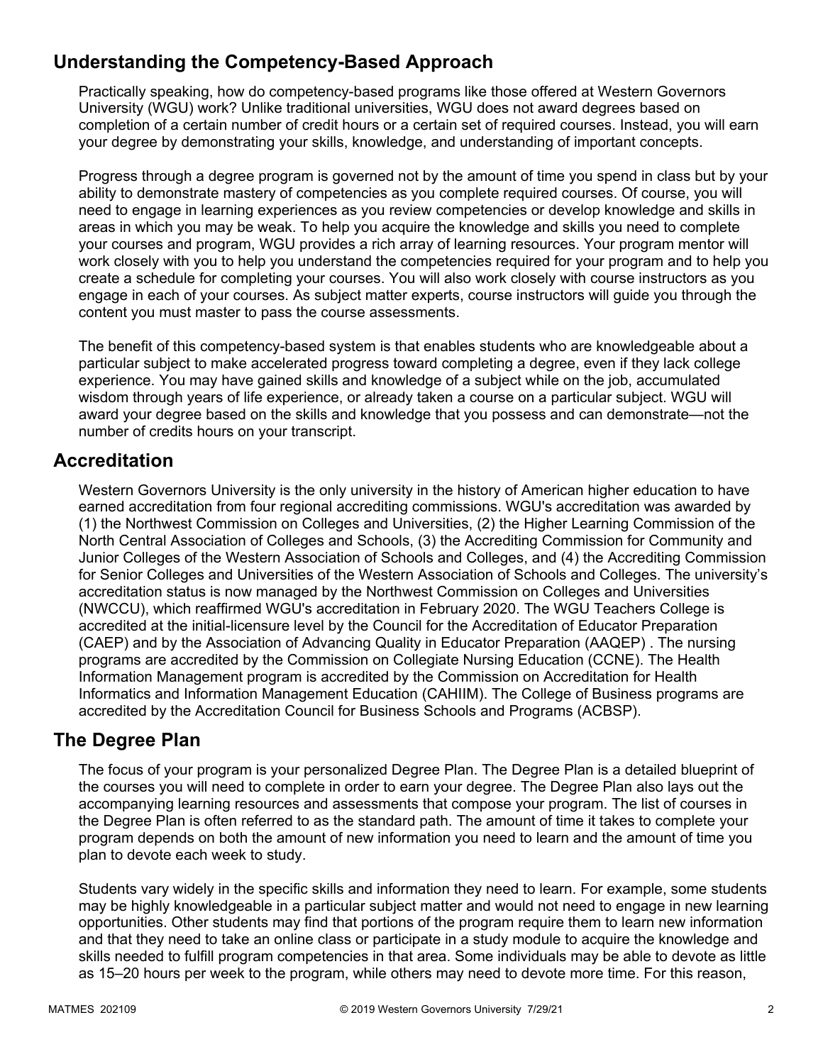# **Understanding the Competency-Based Approach**

Practically speaking, how do competency-based programs like those offered at Western Governors University (WGU) work? Unlike traditional universities, WGU does not award degrees based on completion of a certain number of credit hours or a certain set of required courses. Instead, you will earn your degree by demonstrating your skills, knowledge, and understanding of important concepts.

Progress through a degree program is governed not by the amount of time you spend in class but by your ability to demonstrate mastery of competencies as you complete required courses. Of course, you will need to engage in learning experiences as you review competencies or develop knowledge and skills in areas in which you may be weak. To help you acquire the knowledge and skills you need to complete your courses and program, WGU provides a rich array of learning resources. Your program mentor will work closely with you to help you understand the competencies required for your program and to help you create a schedule for completing your courses. You will also work closely with course instructors as you engage in each of your courses. As subject matter experts, course instructors will guide you through the content you must master to pass the course assessments.

The benefit of this competency-based system is that enables students who are knowledgeable about a particular subject to make accelerated progress toward completing a degree, even if they lack college experience. You may have gained skills and knowledge of a subject while on the job, accumulated wisdom through years of life experience, or already taken a course on a particular subject. WGU will award your degree based on the skills and knowledge that you possess and can demonstrate—not the number of credits hours on your transcript.

# **Accreditation**

Western Governors University is the only university in the history of American higher education to have earned accreditation from four regional accrediting commissions. WGU's accreditation was awarded by (1) the Northwest Commission on Colleges and Universities, (2) the Higher Learning Commission of the North Central Association of Colleges and Schools, (3) the Accrediting Commission for Community and Junior Colleges of the Western Association of Schools and Colleges, and (4) the Accrediting Commission for Senior Colleges and Universities of the Western Association of Schools and Colleges. The university's accreditation status is now managed by the Northwest Commission on Colleges and Universities (NWCCU), which reaffirmed WGU's accreditation in February 2020. The WGU Teachers College is accredited at the initial-licensure level by the Council for the Accreditation of Educator Preparation (CAEP) and by the Association of Advancing Quality in Educator Preparation (AAQEP) . The nursing programs are accredited by the Commission on Collegiate Nursing Education (CCNE). The Health Information Management program is accredited by the Commission on Accreditation for Health Informatics and Information Management Education (CAHIIM). The College of Business programs are accredited by the Accreditation Council for Business Schools and Programs (ACBSP).

## **The Degree Plan**

The focus of your program is your personalized Degree Plan. The Degree Plan is a detailed blueprint of the courses you will need to complete in order to earn your degree. The Degree Plan also lays out the accompanying learning resources and assessments that compose your program. The list of courses in the Degree Plan is often referred to as the standard path. The amount of time it takes to complete your program depends on both the amount of new information you need to learn and the amount of time you plan to devote each week to study.

Students vary widely in the specific skills and information they need to learn. For example, some students may be highly knowledgeable in a particular subject matter and would not need to engage in new learning opportunities. Other students may find that portions of the program require them to learn new information and that they need to take an online class or participate in a study module to acquire the knowledge and skills needed to fulfill program competencies in that area. Some individuals may be able to devote as little as 15–20 hours per week to the program, while others may need to devote more time. For this reason,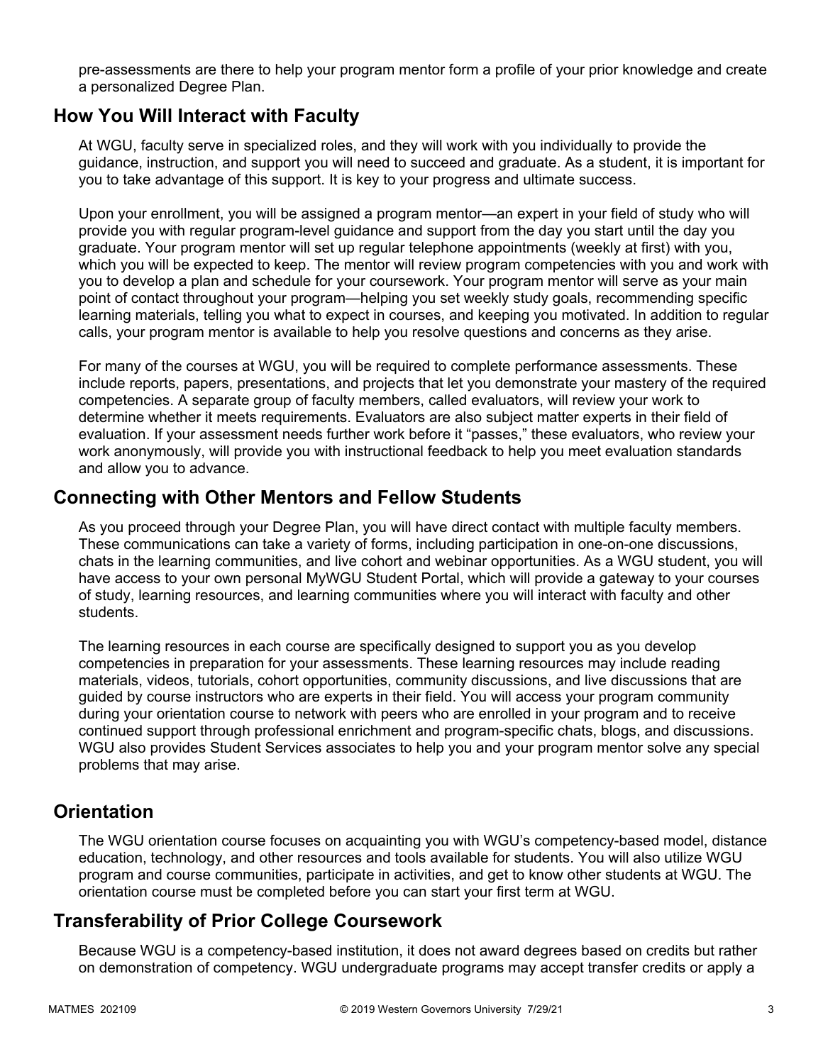pre-assessments are there to help your program mentor form a profile of your prior knowledge and create a personalized Degree Plan.

### **How You Will Interact with Faculty**

At WGU, faculty serve in specialized roles, and they will work with you individually to provide the guidance, instruction, and support you will need to succeed and graduate. As a student, it is important for you to take advantage of this support. It is key to your progress and ultimate success.

Upon your enrollment, you will be assigned a program mentor—an expert in your field of study who will provide you with regular program-level guidance and support from the day you start until the day you graduate. Your program mentor will set up regular telephone appointments (weekly at first) with you, which you will be expected to keep. The mentor will review program competencies with you and work with you to develop a plan and schedule for your coursework. Your program mentor will serve as your main point of contact throughout your program—helping you set weekly study goals, recommending specific learning materials, telling you what to expect in courses, and keeping you motivated. In addition to regular calls, your program mentor is available to help you resolve questions and concerns as they arise.

For many of the courses at WGU, you will be required to complete performance assessments. These include reports, papers, presentations, and projects that let you demonstrate your mastery of the required competencies. A separate group of faculty members, called evaluators, will review your work to determine whether it meets requirements. Evaluators are also subject matter experts in their field of evaluation. If your assessment needs further work before it "passes," these evaluators, who review your work anonymously, will provide you with instructional feedback to help you meet evaluation standards and allow you to advance.

### **Connecting with Other Mentors and Fellow Students**

As you proceed through your Degree Plan, you will have direct contact with multiple faculty members. These communications can take a variety of forms, including participation in one-on-one discussions, chats in the learning communities, and live cohort and webinar opportunities. As a WGU student, you will have access to your own personal MyWGU Student Portal, which will provide a gateway to your courses of study, learning resources, and learning communities where you will interact with faculty and other students.

The learning resources in each course are specifically designed to support you as you develop competencies in preparation for your assessments. These learning resources may include reading materials, videos, tutorials, cohort opportunities, community discussions, and live discussions that are guided by course instructors who are experts in their field. You will access your program community during your orientation course to network with peers who are enrolled in your program and to receive continued support through professional enrichment and program-specific chats, blogs, and discussions. WGU also provides Student Services associates to help you and your program mentor solve any special problems that may arise.

## **Orientation**

The WGU orientation course focuses on acquainting you with WGU's competency-based model, distance education, technology, and other resources and tools available for students. You will also utilize WGU program and course communities, participate in activities, and get to know other students at WGU. The orientation course must be completed before you can start your first term at WGU.

# **Transferability of Prior College Coursework**

Because WGU is a competency-based institution, it does not award degrees based on credits but rather on demonstration of competency. WGU undergraduate programs may accept transfer credits or apply a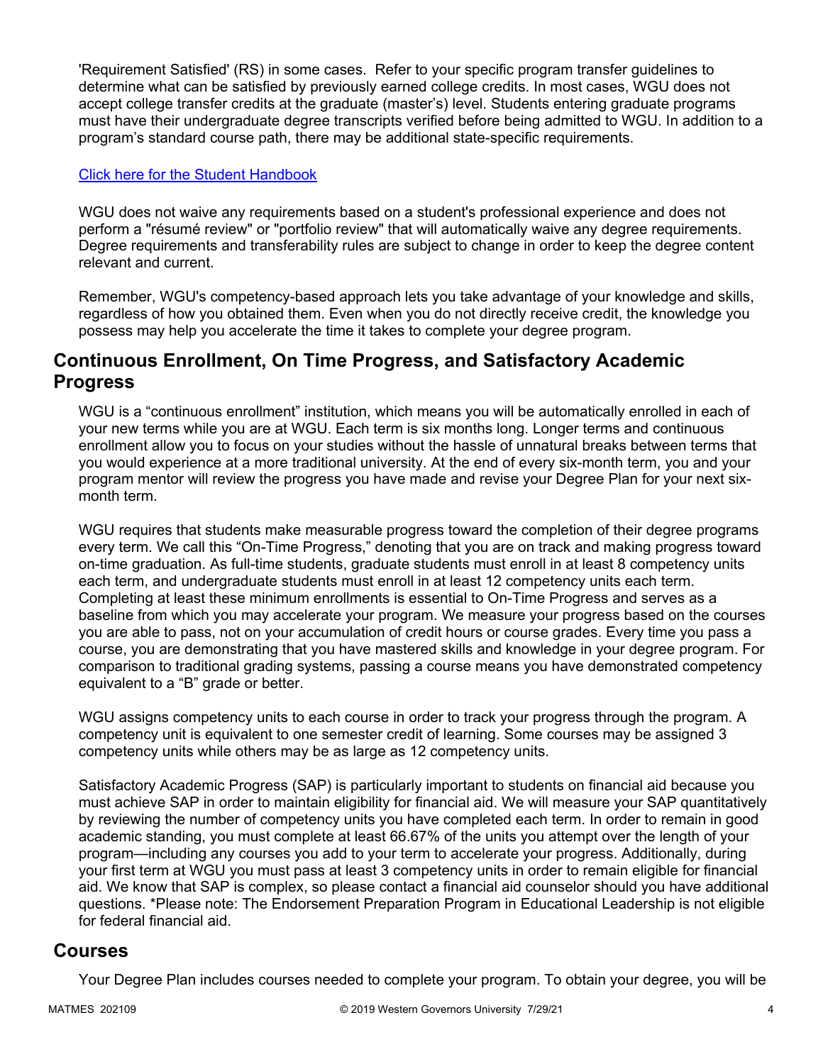'Requirement Satisfied' (RS) in some cases. Refer to your specific program transfer guidelines to determine what can be satisfied by previously earned college credits. In most cases, WGU does not accept college transfer credits at the graduate (master's) level. Students entering graduate programs must have their undergraduate degree transcripts verified before being admitted to WGU. In addition to a program's standard course path, there may be additional state-specific requirements.

#### [Click here for the Student Handbook](http://cm.wgu.edu/)

WGU does not waive any requirements based on a student's professional experience and does not perform a "résumé review" or "portfolio review" that will automatically waive any degree requirements. Degree requirements and transferability rules are subject to change in order to keep the degree content relevant and current.

Remember, WGU's competency-based approach lets you take advantage of your knowledge and skills, regardless of how you obtained them. Even when you do not directly receive credit, the knowledge you possess may help you accelerate the time it takes to complete your degree program.

### **Continuous Enrollment, On Time Progress, and Satisfactory Academic Progress**

WGU is a "continuous enrollment" institution, which means you will be automatically enrolled in each of your new terms while you are at WGU. Each term is six months long. Longer terms and continuous enrollment allow you to focus on your studies without the hassle of unnatural breaks between terms that you would experience at a more traditional university. At the end of every six-month term, you and your program mentor will review the progress you have made and revise your Degree Plan for your next sixmonth term.

WGU requires that students make measurable progress toward the completion of their degree programs every term. We call this "On-Time Progress," denoting that you are on track and making progress toward on-time graduation. As full-time students, graduate students must enroll in at least 8 competency units each term, and undergraduate students must enroll in at least 12 competency units each term. Completing at least these minimum enrollments is essential to On-Time Progress and serves as a baseline from which you may accelerate your program. We measure your progress based on the courses you are able to pass, not on your accumulation of credit hours or course grades. Every time you pass a course, you are demonstrating that you have mastered skills and knowledge in your degree program. For comparison to traditional grading systems, passing a course means you have demonstrated competency equivalent to a "B" grade or better.

WGU assigns competency units to each course in order to track your progress through the program. A competency unit is equivalent to one semester credit of learning. Some courses may be assigned 3 competency units while others may be as large as 12 competency units.

Satisfactory Academic Progress (SAP) is particularly important to students on financial aid because you must achieve SAP in order to maintain eligibility for financial aid. We will measure your SAP quantitatively by reviewing the number of competency units you have completed each term. In order to remain in good academic standing, you must complete at least 66.67% of the units you attempt over the length of your program—including any courses you add to your term to accelerate your progress. Additionally, during your first term at WGU you must pass at least 3 competency units in order to remain eligible for financial aid. We know that SAP is complex, so please contact a financial aid counselor should you have additional questions. \*Please note: The Endorsement Preparation Program in Educational Leadership is not eligible for federal financial aid.

### **Courses**

Your Degree Plan includes courses needed to complete your program. To obtain your degree, you will be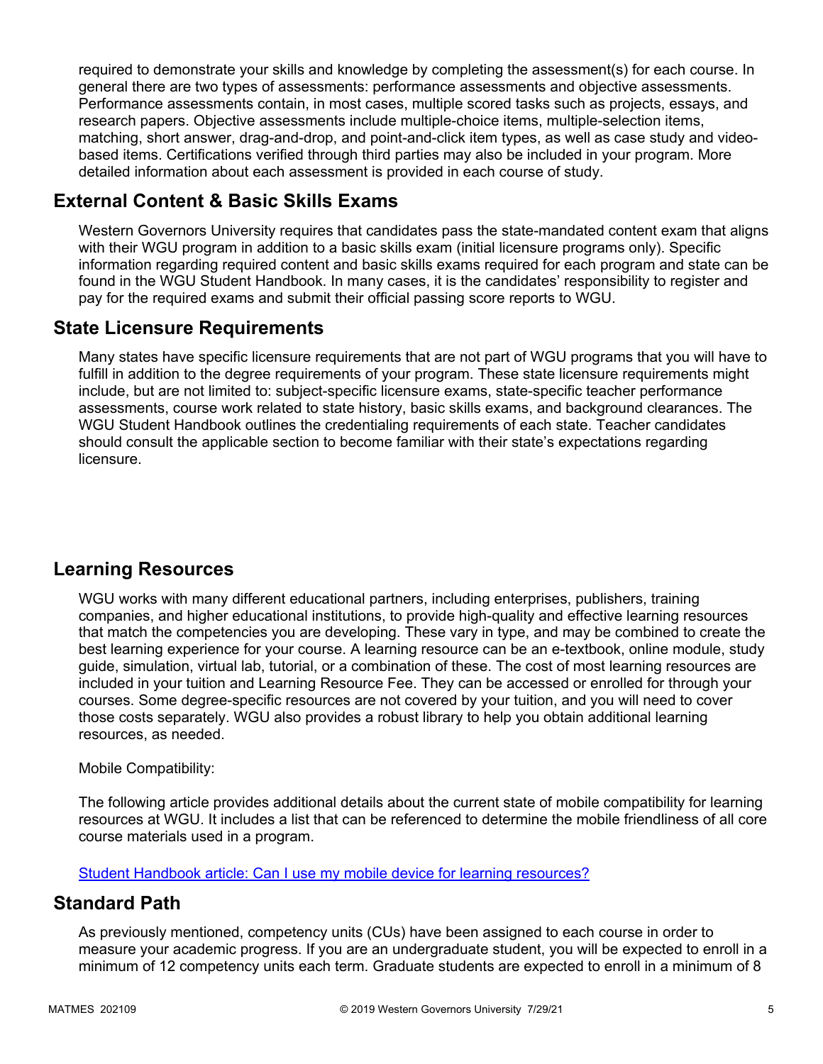required to demonstrate your skills and knowledge by completing the assessment(s) for each course. In general there are two types of assessments: performance assessments and objective assessments. Performance assessments contain, in most cases, multiple scored tasks such as projects, essays, and research papers. Objective assessments include multiple-choice items, multiple-selection items, matching, short answer, drag-and-drop, and point-and-click item types, as well as case study and videobased items. Certifications verified through third parties may also be included in your program. More detailed information about each assessment is provided in each course of study.

# **External Content & Basic Skills Exams**

Western Governors University requires that candidates pass the state-mandated content exam that aligns with their WGU program in addition to a basic skills exam (initial licensure programs only). Specific information regarding required content and basic skills exams required for each program and state can be found in the WGU Student Handbook. In many cases, it is the candidates' responsibility to register and pay for the required exams and submit their official passing score reports to WGU.

# **State Licensure Requirements**

Many states have specific licensure requirements that are not part of WGU programs that you will have to fulfill in addition to the degree requirements of your program. These state licensure requirements might include, but are not limited to: subject-specific licensure exams, state-specific teacher performance assessments, course work related to state history, basic skills exams, and background clearances. The WGU Student Handbook outlines the credentialing requirements of each state. Teacher candidates should consult the applicable section to become familiar with their state's expectations regarding licensure.

# **Learning Resources**

WGU works with many different educational partners, including enterprises, publishers, training companies, and higher educational institutions, to provide high-quality and effective learning resources that match the competencies you are developing. These vary in type, and may be combined to create the best learning experience for your course. A learning resource can be an e-textbook, online module, study guide, simulation, virtual lab, tutorial, or a combination of these. The cost of most learning resources are included in your tuition and Learning Resource Fee. They can be accessed or enrolled for through your courses. Some degree-specific resources are not covered by your tuition, and you will need to cover those costs separately. WGU also provides a robust library to help you obtain additional learning resources, as needed.

#### Mobile Compatibility:

The following article provides additional details about the current state of mobile compatibility for learning resources at WGU. It includes a list that can be referenced to determine the mobile friendliness of all core course materials used in a program.

[Student Handbook article: Can I use my mobile device for learning resources?](https://cm.wgu.edu/t5/Frequently-Asked-Questions/Can-I-use-my-mobile-device-for-learning-resources/ta-p/396)

## **Standard Path**

As previously mentioned, competency units (CUs) have been assigned to each course in order to measure your academic progress. If you are an undergraduate student, you will be expected to enroll in a minimum of 12 competency units each term. Graduate students are expected to enroll in a minimum of 8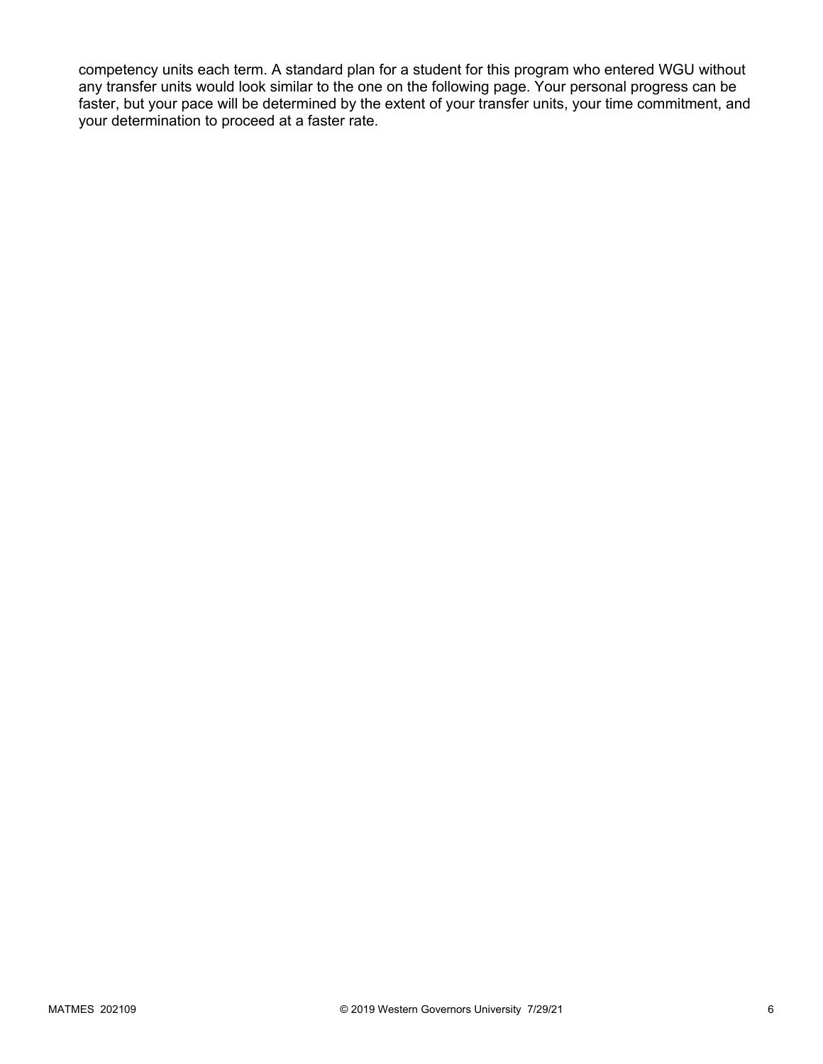competency units each term. A standard plan for a student for this program who entered WGU without any transfer units would look similar to the one on the following page. Your personal progress can be faster, but your pace will be determined by the extent of your transfer units, your time commitment, and your determination to proceed at a faster rate.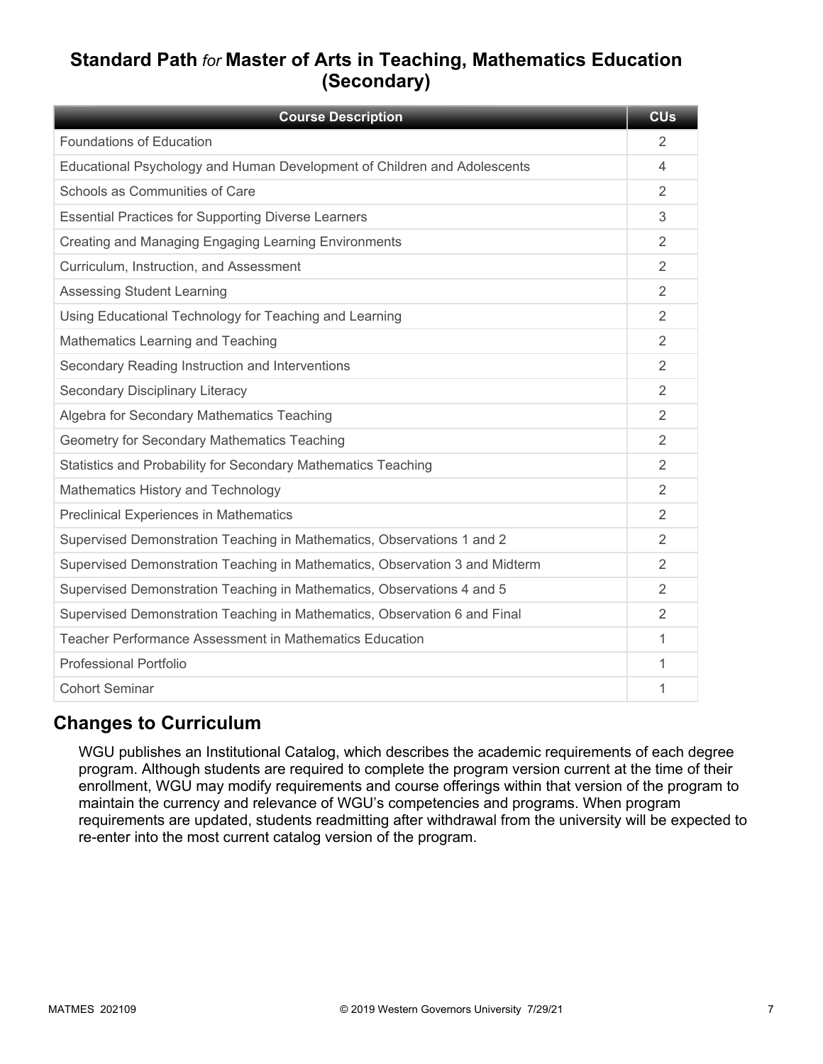# **Standard Path** *for* **Master of Arts in Teaching, Mathematics Education (Secondary)**

| <b>Course Description</b>                                                   | <b>CU<sub>s</sub></b> |
|-----------------------------------------------------------------------------|-----------------------|
| <b>Foundations of Education</b>                                             | 2                     |
| Educational Psychology and Human Development of Children and Adolescents    | 4                     |
| Schools as Communities of Care                                              | 2                     |
| <b>Essential Practices for Supporting Diverse Learners</b>                  | 3                     |
| Creating and Managing Engaging Learning Environments                        | 2                     |
| Curriculum, Instruction, and Assessment                                     | 2                     |
| <b>Assessing Student Learning</b>                                           | 2                     |
| Using Educational Technology for Teaching and Learning                      | 2                     |
| Mathematics Learning and Teaching                                           | 2                     |
| Secondary Reading Instruction and Interventions                             | 2                     |
| Secondary Disciplinary Literacy                                             | $\mathfrak{D}$        |
| Algebra for Secondary Mathematics Teaching                                  | $\overline{2}$        |
| Geometry for Secondary Mathematics Teaching                                 | 2                     |
| Statistics and Probability for Secondary Mathematics Teaching               | $\mathfrak{D}$        |
| Mathematics History and Technology                                          | 2                     |
| <b>Preclinical Experiences in Mathematics</b>                               | 2                     |
| Supervised Demonstration Teaching in Mathematics, Observations 1 and 2      | 2                     |
| Supervised Demonstration Teaching in Mathematics, Observation 3 and Midterm | 2                     |
| Supervised Demonstration Teaching in Mathematics, Observations 4 and 5      | 2                     |
| Supervised Demonstration Teaching in Mathematics, Observation 6 and Final   | 2                     |
| Teacher Performance Assessment in Mathematics Education                     | 1                     |
| <b>Professional Portfolio</b>                                               | 1                     |
| <b>Cohort Seminar</b>                                                       | 1                     |

# **Changes to Curriculum**

WGU publishes an Institutional Catalog, which describes the academic requirements of each degree program. Although students are required to complete the program version current at the time of their enrollment, WGU may modify requirements and course offerings within that version of the program to maintain the currency and relevance of WGU's competencies and programs. When program requirements are updated, students readmitting after withdrawal from the university will be expected to re-enter into the most current catalog version of the program.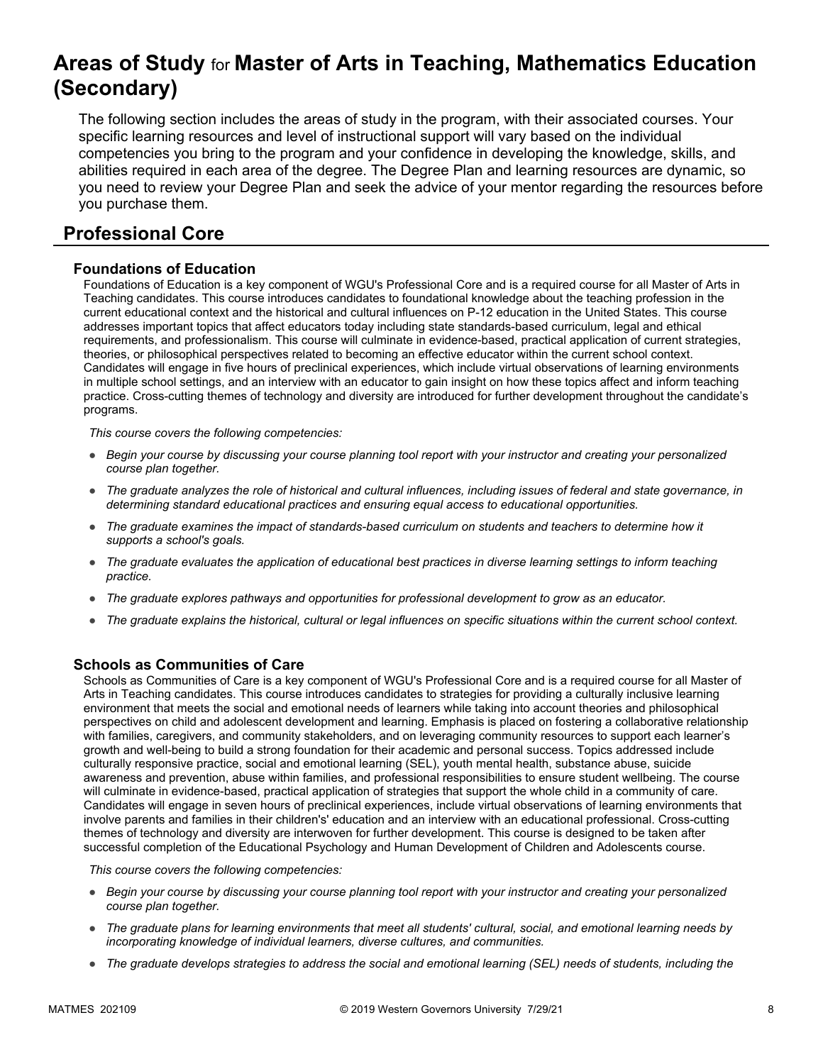# **Areas of Study** for **Master of Arts in Teaching, Mathematics Education (Secondary)**

The following section includes the areas of study in the program, with their associated courses. Your specific learning resources and level of instructional support will vary based on the individual competencies you bring to the program and your confidence in developing the knowledge, skills, and abilities required in each area of the degree. The Degree Plan and learning resources are dynamic, so you need to review your Degree Plan and seek the advice of your mentor regarding the resources before you purchase them.

# **Professional Core**

#### **Foundations of Education**

Foundations of Education is a key component of WGU's Professional Core and is a required course for all Master of Arts in Teaching candidates. This course introduces candidates to foundational knowledge about the teaching profession in the current educational context and the historical and cultural influences on P-12 education in the United States. This course addresses important topics that affect educators today including state standards-based curriculum, legal and ethical requirements, and professionalism. This course will culminate in evidence-based, practical application of current strategies, theories, or philosophical perspectives related to becoming an effective educator within the current school context. Candidates will engage in five hours of preclinical experiences, which include virtual observations of learning environments in multiple school settings, and an interview with an educator to gain insight on how these topics affect and inform teaching practice. Cross-cutting themes of technology and diversity are introduced for further development throughout the candidate's programs.

*This course covers the following competencies:*

- *Begin your course by discussing your course planning tool report with your instructor and creating your personalized course plan together.*
- *The graduate analyzes the role of historical and cultural influences, including issues of federal and state governance, in determining standard educational practices and ensuring equal access to educational opportunities.*
- *The graduate examines the impact of standards-based curriculum on students and teachers to determine how it supports a school's goals.*
- *The graduate evaluates the application of educational best practices in diverse learning settings to inform teaching practice.*
- *The graduate explores pathways and opportunities for professional development to grow as an educator.*
- *The graduate explains the historical, cultural or legal influences on specific situations within the current school context.*

#### **Schools as Communities of Care**

Schools as Communities of Care is a key component of WGU's Professional Core and is a required course for all Master of Arts in Teaching candidates. This course introduces candidates to strategies for providing a culturally inclusive learning environment that meets the social and emotional needs of learners while taking into account theories and philosophical perspectives on child and adolescent development and learning. Emphasis is placed on fostering a collaborative relationship with families, caregivers, and community stakeholders, and on leveraging community resources to support each learner's growth and well-being to build a strong foundation for their academic and personal success. Topics addressed include culturally responsive practice, social and emotional learning (SEL), youth mental health, substance abuse, suicide awareness and prevention, abuse within families, and professional responsibilities to ensure student wellbeing. The course will culminate in evidence-based, practical application of strategies that support the whole child in a community of care. Candidates will engage in seven hours of preclinical experiences, include virtual observations of learning environments that involve parents and families in their children's' education and an interview with an educational professional. Cross-cutting themes of technology and diversity are interwoven for further development. This course is designed to be taken after successful completion of the Educational Psychology and Human Development of Children and Adolescents course.

- *Begin your course by discussing your course planning tool report with your instructor and creating your personalized course plan together.*
- *The graduate plans for learning environments that meet all students' cultural, social, and emotional learning needs by incorporating knowledge of individual learners, diverse cultures, and communities.*
- *The graduate develops strategies to address the social and emotional learning (SEL) needs of students, including the*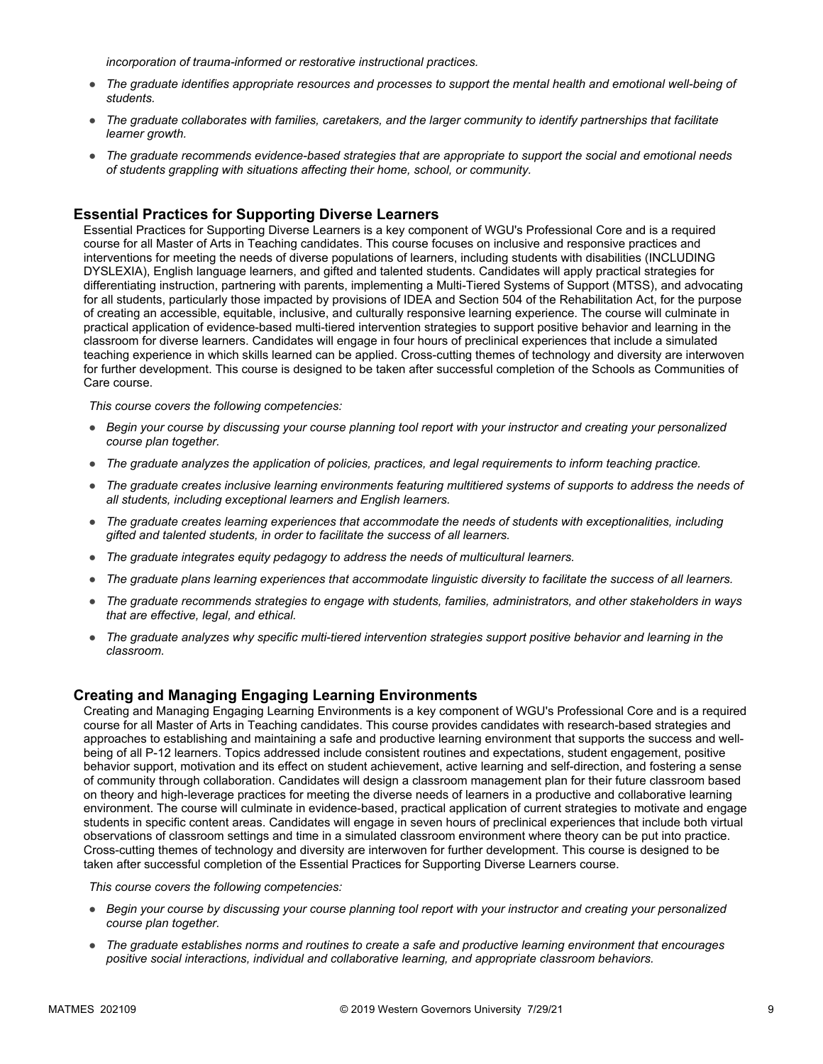*incorporation of trauma-informed or restorative instructional practices.* 

- *The graduate identifies appropriate resources and processes to support the mental health and emotional well-being of students.*
- *The graduate collaborates with families, caretakers, and the larger community to identify partnerships that facilitate learner growth.*
- *The graduate recommends evidence-based strategies that are appropriate to support the social and emotional needs of students grappling with situations affecting their home, school, or community.*

#### **Essential Practices for Supporting Diverse Learners**

Essential Practices for Supporting Diverse Learners is a key component of WGU's Professional Core and is a required course for all Master of Arts in Teaching candidates. This course focuses on inclusive and responsive practices and interventions for meeting the needs of diverse populations of learners, including students with disabilities (INCLUDING DYSLEXIA), English language learners, and gifted and talented students. Candidates will apply practical strategies for differentiating instruction, partnering with parents, implementing a Multi-Tiered Systems of Support (MTSS), and advocating for all students, particularly those impacted by provisions of IDEA and Section 504 of the Rehabilitation Act, for the purpose of creating an accessible, equitable, inclusive, and culturally responsive learning experience. The course will culminate in practical application of evidence-based multi-tiered intervention strategies to support positive behavior and learning in the classroom for diverse learners. Candidates will engage in four hours of preclinical experiences that include a simulated teaching experience in which skills learned can be applied. Cross-cutting themes of technology and diversity are interwoven for further development. This course is designed to be taken after successful completion of the Schools as Communities of Care course.

*This course covers the following competencies:*

- *Begin your course by discussing your course planning tool report with your instructor and creating your personalized course plan together.*
- *The graduate analyzes the application of policies, practices, and legal requirements to inform teaching practice.*
- *The graduate creates inclusive learning environments featuring multitiered systems of supports to address the needs of all students, including exceptional learners and English learners.*
- *The graduate creates learning experiences that accommodate the needs of students with exceptionalities, including gifted and talented students, in order to facilitate the success of all learners.*
- *The graduate integrates equity pedagogy to address the needs of multicultural learners.*
- *The graduate plans learning experiences that accommodate linguistic diversity to facilitate the success of all learners.*
- *The graduate recommends strategies to engage with students, families, administrators, and other stakeholders in ways that are effective, legal, and ethical.*
- *The graduate analyzes why specific multi-tiered intervention strategies support positive behavior and learning in the classroom.*

#### **Creating and Managing Engaging Learning Environments**

Creating and Managing Engaging Learning Environments is a key component of WGU's Professional Core and is a required course for all Master of Arts in Teaching candidates. This course provides candidates with research-based strategies and approaches to establishing and maintaining a safe and productive learning environment that supports the success and wellbeing of all P-12 learners. Topics addressed include consistent routines and expectations, student engagement, positive behavior support, motivation and its effect on student achievement, active learning and self-direction, and fostering a sense of community through collaboration. Candidates will design a classroom management plan for their future classroom based on theory and high-leverage practices for meeting the diverse needs of learners in a productive and collaborative learning environment. The course will culminate in evidence-based, practical application of current strategies to motivate and engage students in specific content areas. Candidates will engage in seven hours of preclinical experiences that include both virtual observations of classroom settings and time in a simulated classroom environment where theory can be put into practice. Cross-cutting themes of technology and diversity are interwoven for further development. This course is designed to be taken after successful completion of the Essential Practices for Supporting Diverse Learners course.

- *Begin your course by discussing your course planning tool report with your instructor and creating your personalized course plan together.*
- *The graduate establishes norms and routines to create a safe and productive learning environment that encourages positive social interactions, individual and collaborative learning, and appropriate classroom behaviors.*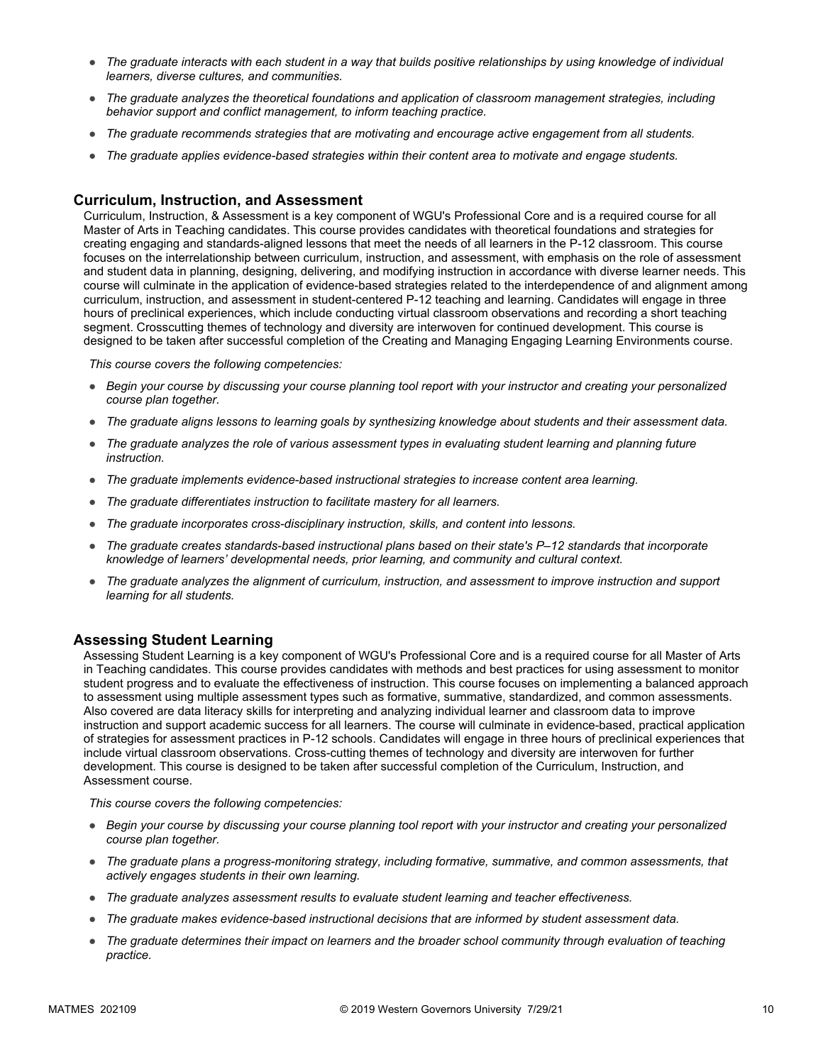- *The graduate interacts with each student in a way that builds positive relationships by using knowledge of individual learners, diverse cultures, and communities.*
- *The graduate analyzes the theoretical foundations and application of classroom management strategies, including behavior support and conflict management, to inform teaching practice.*
- *The graduate recommends strategies that are motivating and encourage active engagement from all students.*
- *The graduate applies evidence-based strategies within their content area to motivate and engage students.*

#### **Curriculum, Instruction, and Assessment**

Curriculum, Instruction, & Assessment is a key component of WGU's Professional Core and is a required course for all Master of Arts in Teaching candidates. This course provides candidates with theoretical foundations and strategies for creating engaging and standards-aligned lessons that meet the needs of all learners in the P-12 classroom. This course focuses on the interrelationship between curriculum, instruction, and assessment, with emphasis on the role of assessment and student data in planning, designing, delivering, and modifying instruction in accordance with diverse learner needs. This course will culminate in the application of evidence-based strategies related to the interdependence of and alignment among curriculum, instruction, and assessment in student-centered P-12 teaching and learning. Candidates will engage in three hours of preclinical experiences, which include conducting virtual classroom observations and recording a short teaching segment. Crosscutting themes of technology and diversity are interwoven for continued development. This course is designed to be taken after successful completion of the Creating and Managing Engaging Learning Environments course.

*This course covers the following competencies:*

- *Begin your course by discussing your course planning tool report with your instructor and creating your personalized course plan together.*
- *The graduate aligns lessons to learning goals by synthesizing knowledge about students and their assessment data.*
- *The graduate analyzes the role of various assessment types in evaluating student learning and planning future instruction.*
- *The graduate implements evidence-based instructional strategies to increase content area learning.*
- *The graduate differentiates instruction to facilitate mastery for all learners.*
- *The graduate incorporates cross-disciplinary instruction, skills, and content into lessons.*
- *The graduate creates standards-based instructional plans based on their state's P–12 standards that incorporate knowledge of learners' developmental needs, prior learning, and community and cultural context.*
- *The graduate analyzes the alignment of curriculum, instruction, and assessment to improve instruction and support learning for all students.*

#### **Assessing Student Learning**

Assessing Student Learning is a key component of WGU's Professional Core and is a required course for all Master of Arts in Teaching candidates. This course provides candidates with methods and best practices for using assessment to monitor student progress and to evaluate the effectiveness of instruction. This course focuses on implementing a balanced approach to assessment using multiple assessment types such as formative, summative, standardized, and common assessments. Also covered are data literacy skills for interpreting and analyzing individual learner and classroom data to improve instruction and support academic success for all learners. The course will culminate in evidence-based, practical application of strategies for assessment practices in P-12 schools. Candidates will engage in three hours of preclinical experiences that include virtual classroom observations. Cross-cutting themes of technology and diversity are interwoven for further development. This course is designed to be taken after successful completion of the Curriculum, Instruction, and Assessment course.

- *Begin your course by discussing your course planning tool report with your instructor and creating your personalized course plan together.*
- *The graduate plans a progress-monitoring strategy, including formative, summative, and common assessments, that actively engages students in their own learning.*
- *The graduate analyzes assessment results to evaluate student learning and teacher effectiveness.*
- *The graduate makes evidence-based instructional decisions that are informed by student assessment data.*
- The graduate determines their impact on learners and the broader school community through evaluation of teaching *practice.*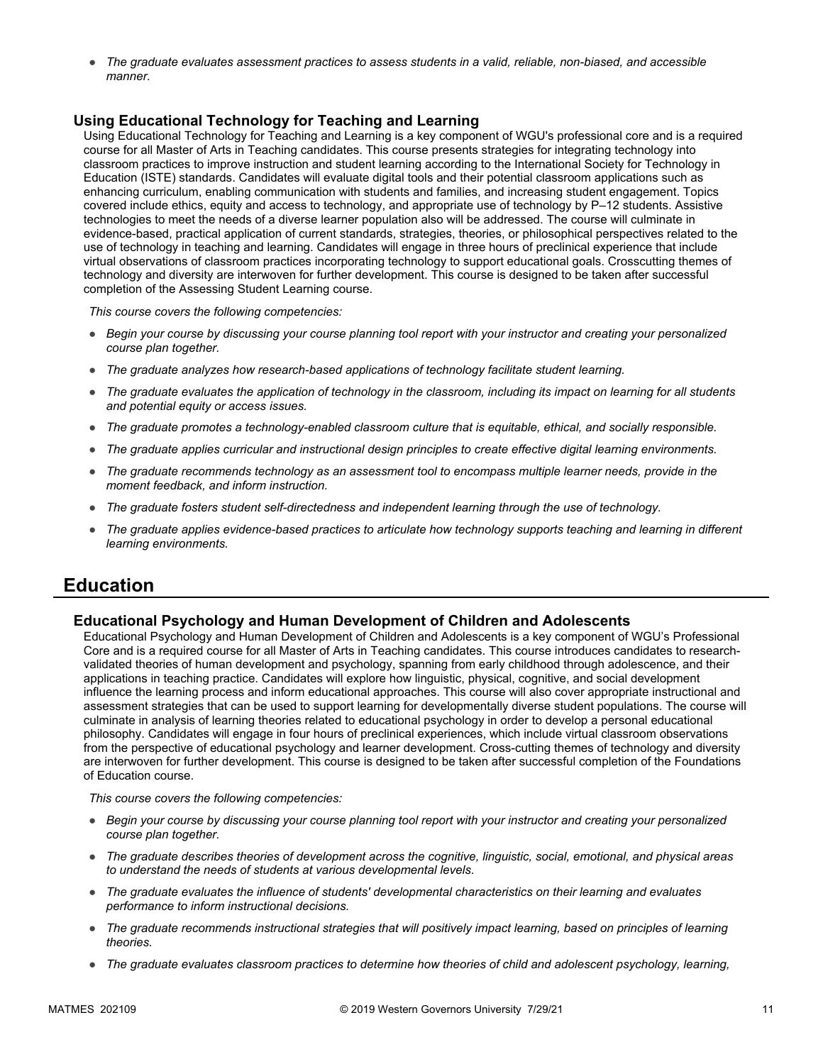● *The graduate evaluates assessment practices to assess students in a valid, reliable, non-biased, and accessible manner.*

#### **Using Educational Technology for Teaching and Learning**

Using Educational Technology for Teaching and Learning is a key component of WGU's professional core and is a required course for all Master of Arts in Teaching candidates. This course presents strategies for integrating technology into classroom practices to improve instruction and student learning according to the International Society for Technology in Education (ISTE) standards. Candidates will evaluate digital tools and their potential classroom applications such as enhancing curriculum, enabling communication with students and families, and increasing student engagement. Topics covered include ethics, equity and access to technology, and appropriate use of technology by P–12 students. Assistive technologies to meet the needs of a diverse learner population also will be addressed. The course will culminate in evidence-based, practical application of current standards, strategies, theories, or philosophical perspectives related to the use of technology in teaching and learning. Candidates will engage in three hours of preclinical experience that include virtual observations of classroom practices incorporating technology to support educational goals. Crosscutting themes of technology and diversity are interwoven for further development. This course is designed to be taken after successful completion of the Assessing Student Learning course.

*This course covers the following competencies:*

- *Begin your course by discussing your course planning tool report with your instructor and creating your personalized course plan together.*
- *The graduate analyzes how research-based applications of technology facilitate student learning.*
- *The graduate evaluates the application of technology in the classroom, including its impact on learning for all students and potential equity or access issues.*
- *The graduate promotes a technology-enabled classroom culture that is equitable, ethical, and socially responsible.*
- *The graduate applies curricular and instructional design principles to create effective digital learning environments.*
- *The graduate recommends technology as an assessment tool to encompass multiple learner needs, provide in the moment feedback, and inform instruction.*
- *The graduate fosters student self-directedness and independent learning through the use of technology.*
- *The graduate applies evidence-based practices to articulate how technology supports teaching and learning in different learning environments.*

### **Education**

#### **Educational Psychology and Human Development of Children and Adolescents**

Educational Psychology and Human Development of Children and Adolescents is a key component of WGU's Professional Core and is a required course for all Master of Arts in Teaching candidates. This course introduces candidates to researchvalidated theories of human development and psychology, spanning from early childhood through adolescence, and their applications in teaching practice. Candidates will explore how linguistic, physical, cognitive, and social development influence the learning process and inform educational approaches. This course will also cover appropriate instructional and assessment strategies that can be used to support learning for developmentally diverse student populations. The course will culminate in analysis of learning theories related to educational psychology in order to develop a personal educational philosophy. Candidates will engage in four hours of preclinical experiences, which include virtual classroom observations from the perspective of educational psychology and learner development. Cross-cutting themes of technology and diversity are interwoven for further development. This course is designed to be taken after successful completion of the Foundations of Education course.

- *Begin your course by discussing your course planning tool report with your instructor and creating your personalized course plan together.*
- *The graduate describes theories of development across the cognitive, linguistic, social, emotional, and physical areas to understand the needs of students at various developmental levels.*
- *The graduate evaluates the influence of students' developmental characteristics on their learning and evaluates performance to inform instructional decisions.*
- *The graduate recommends instructional strategies that will positively impact learning, based on principles of learning theories.*
- *The graduate evaluates classroom practices to determine how theories of child and adolescent psychology, learning,*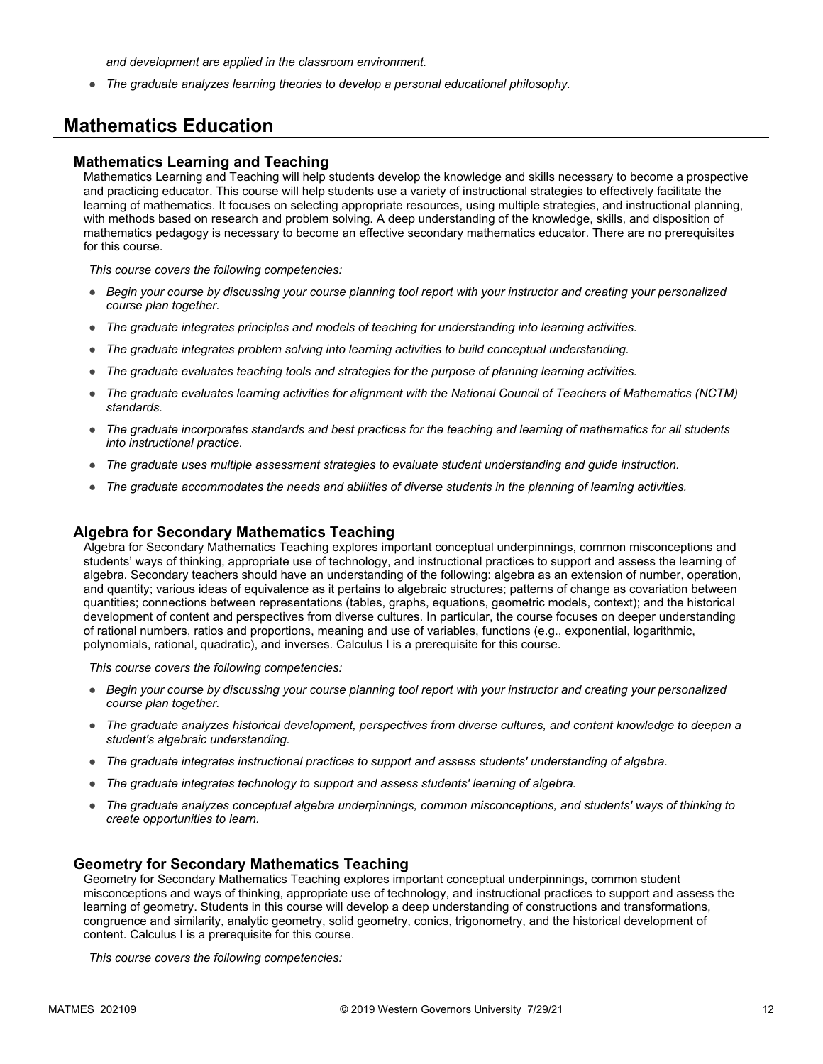*and development are applied in the classroom environment.*

● *The graduate analyzes learning theories to develop a personal educational philosophy.*

### **Mathematics Education**

#### **Mathematics Learning and Teaching**

Mathematics Learning and Teaching will help students develop the knowledge and skills necessary to become a prospective and practicing educator. This course will help students use a variety of instructional strategies to effectively facilitate the learning of mathematics. It focuses on selecting appropriate resources, using multiple strategies, and instructional planning, with methods based on research and problem solving. A deep understanding of the knowledge, skills, and disposition of mathematics pedagogy is necessary to become an effective secondary mathematics educator. There are no prerequisites for this course.

*This course covers the following competencies:*

- *Begin your course by discussing your course planning tool report with your instructor and creating your personalized course plan together.*
- *The graduate integrates principles and models of teaching for understanding into learning activities.*
- *The graduate integrates problem solving into learning activities to build conceptual understanding.*
- *The graduate evaluates teaching tools and strategies for the purpose of planning learning activities.*
- *The graduate evaluates learning activities for alignment with the National Council of Teachers of Mathematics (NCTM) standards.*
- *The graduate incorporates standards and best practices for the teaching and learning of mathematics for all students into instructional practice.*
- *The graduate uses multiple assessment strategies to evaluate student understanding and guide instruction.*
- *The graduate accommodates the needs and abilities of diverse students in the planning of learning activities.*

#### **Algebra for Secondary Mathematics Teaching**

Algebra for Secondary Mathematics Teaching explores important conceptual underpinnings, common misconceptions and students' ways of thinking, appropriate use of technology, and instructional practices to support and assess the learning of algebra. Secondary teachers should have an understanding of the following: algebra as an extension of number, operation, and quantity; various ideas of equivalence as it pertains to algebraic structures; patterns of change as covariation between quantities; connections between representations (tables, graphs, equations, geometric models, context); and the historical development of content and perspectives from diverse cultures. In particular, the course focuses on deeper understanding of rational numbers, ratios and proportions, meaning and use of variables, functions (e.g., exponential, logarithmic, polynomials, rational, quadratic), and inverses. Calculus I is a prerequisite for this course.

*This course covers the following competencies:*

- *Begin your course by discussing your course planning tool report with your instructor and creating your personalized course plan together.*
- *The graduate analyzes historical development, perspectives from diverse cultures, and content knowledge to deepen a student's algebraic understanding.*
- *The graduate integrates instructional practices to support and assess students' understanding of algebra.*
- *The graduate integrates technology to support and assess students' learning of algebra.*
- *The graduate analyzes conceptual algebra underpinnings, common misconceptions, and students' ways of thinking to create opportunities to learn.*

#### **Geometry for Secondary Mathematics Teaching**

Geometry for Secondary Mathematics Teaching explores important conceptual underpinnings, common student misconceptions and ways of thinking, appropriate use of technology, and instructional practices to support and assess the learning of geometry. Students in this course will develop a deep understanding of constructions and transformations, congruence and similarity, analytic geometry, solid geometry, conics, trigonometry, and the historical development of content. Calculus I is a prerequisite for this course.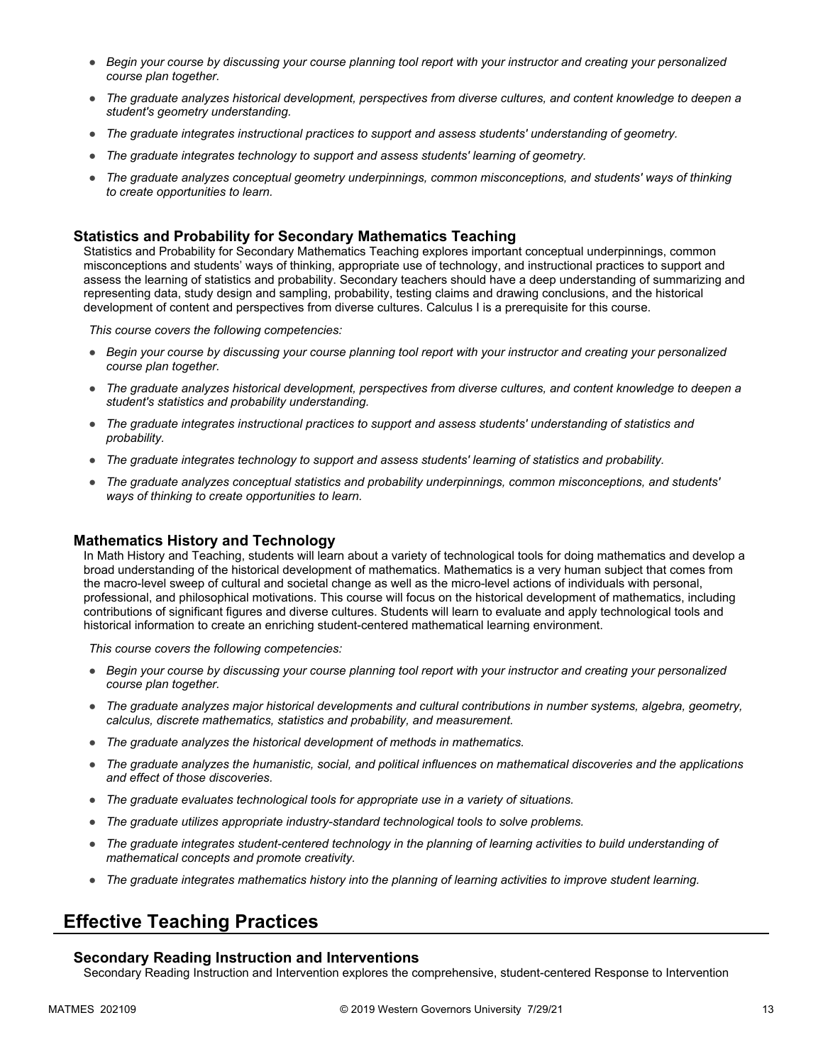- *Begin your course by discussing your course planning tool report with your instructor and creating your personalized course plan together.*
- *The graduate analyzes historical development, perspectives from diverse cultures, and content knowledge to deepen a student's geometry understanding.*
- *The graduate integrates instructional practices to support and assess students' understanding of geometry.*
- *The graduate integrates technology to support and assess students' learning of geometry.*
- *The graduate analyzes conceptual geometry underpinnings, common misconceptions, and students' ways of thinking to create opportunities to learn.*

#### **Statistics and Probability for Secondary Mathematics Teaching**

Statistics and Probability for Secondary Mathematics Teaching explores important conceptual underpinnings, common misconceptions and students' ways of thinking, appropriate use of technology, and instructional practices to support and assess the learning of statistics and probability. Secondary teachers should have a deep understanding of summarizing and representing data, study design and sampling, probability, testing claims and drawing conclusions, and the historical development of content and perspectives from diverse cultures. Calculus I is a prerequisite for this course.

*This course covers the following competencies:*

- *Begin your course by discussing your course planning tool report with your instructor and creating your personalized course plan together.*
- *The graduate analyzes historical development, perspectives from diverse cultures, and content knowledge to deepen a student's statistics and probability understanding.*
- *The graduate integrates instructional practices to support and assess students' understanding of statistics and probability.*
- *The graduate integrates technology to support and assess students' learning of statistics and probability.*
- *The graduate analyzes conceptual statistics and probability underpinnings, common misconceptions, and students' ways of thinking to create opportunities to learn.*

#### **Mathematics History and Technology**

In Math History and Teaching, students will learn about a variety of technological tools for doing mathematics and develop a broad understanding of the historical development of mathematics. Mathematics is a very human subject that comes from the macro-level sweep of cultural and societal change as well as the micro-level actions of individuals with personal, professional, and philosophical motivations. This course will focus on the historical development of mathematics, including contributions of significant figures and diverse cultures. Students will learn to evaluate and apply technological tools and historical information to create an enriching student-centered mathematical learning environment.

*This course covers the following competencies:*

- *Begin your course by discussing your course planning tool report with your instructor and creating your personalized course plan together.*
- *The graduate analyzes major historical developments and cultural contributions in number systems, algebra, geometry, calculus, discrete mathematics, statistics and probability, and measurement.*
- *The graduate analyzes the historical development of methods in mathematics.*
- *The graduate analyzes the humanistic, social, and political influences on mathematical discoveries and the applications and effect of those discoveries.*
- *The graduate evaluates technological tools for appropriate use in a variety of situations.*
- *The graduate utilizes appropriate industry-standard technological tools to solve problems.*
- *The graduate integrates student-centered technology in the planning of learning activities to build understanding of mathematical concepts and promote creativity.*
- *The graduate integrates mathematics history into the planning of learning activities to improve student learning.*

## **Effective Teaching Practices**

#### **Secondary Reading Instruction and Interventions**

Secondary Reading Instruction and Intervention explores the comprehensive, student-centered Response to Intervention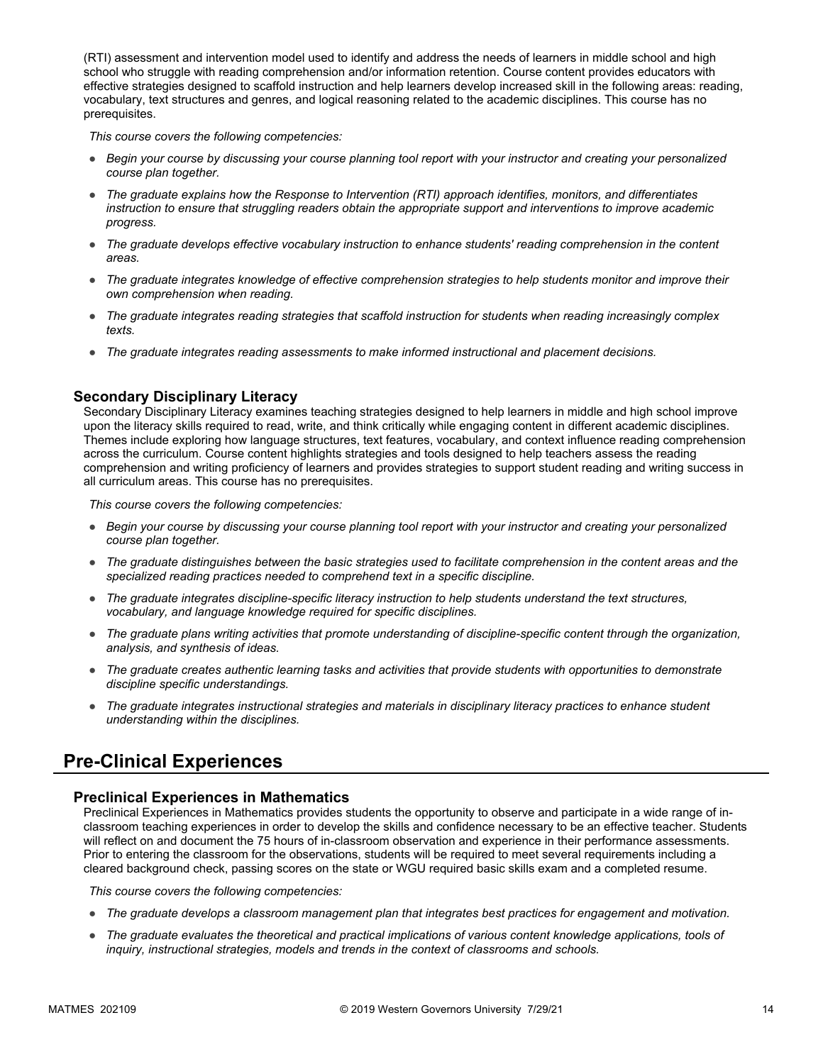(RTI) assessment and intervention model used to identify and address the needs of learners in middle school and high school who struggle with reading comprehension and/or information retention. Course content provides educators with effective strategies designed to scaffold instruction and help learners develop increased skill in the following areas: reading, vocabulary, text structures and genres, and logical reasoning related to the academic disciplines. This course has no prerequisites.

*This course covers the following competencies:*

- *Begin your course by discussing your course planning tool report with your instructor and creating your personalized course plan together.*
- *The graduate explains how the Response to Intervention (RTI) approach identifies, monitors, and differentiates instruction to ensure that struggling readers obtain the appropriate support and interventions to improve academic progress.*
- *The graduate develops effective vocabulary instruction to enhance students' reading comprehension in the content areas.*
- *The graduate integrates knowledge of effective comprehension strategies to help students monitor and improve their own comprehension when reading.*
- *The graduate integrates reading strategies that scaffold instruction for students when reading increasingly complex texts.*
- *The graduate integrates reading assessments to make informed instructional and placement decisions.*

#### **Secondary Disciplinary Literacy**

Secondary Disciplinary Literacy examines teaching strategies designed to help learners in middle and high school improve upon the literacy skills required to read, write, and think critically while engaging content in different academic disciplines. Themes include exploring how language structures, text features, vocabulary, and context influence reading comprehension across the curriculum. Course content highlights strategies and tools designed to help teachers assess the reading comprehension and writing proficiency of learners and provides strategies to support student reading and writing success in all curriculum areas. This course has no prerequisites.

*This course covers the following competencies:*

- *Begin your course by discussing your course planning tool report with your instructor and creating your personalized course plan together.*
- *The graduate distinguishes between the basic strategies used to facilitate comprehension in the content areas and the specialized reading practices needed to comprehend text in a specific discipline.*
- *The graduate integrates discipline-specific literacy instruction to help students understand the text structures, vocabulary, and language knowledge required for specific disciplines.*
- *The graduate plans writing activities that promote understanding of discipline-specific content through the organization, analysis, and synthesis of ideas.*
- *The graduate creates authentic learning tasks and activities that provide students with opportunities to demonstrate discipline specific understandings.*
- *The graduate integrates instructional strategies and materials in disciplinary literacy practices to enhance student understanding within the disciplines.*

### **Pre-Clinical Experiences**

#### **Preclinical Experiences in Mathematics**

Preclinical Experiences in Mathematics provides students the opportunity to observe and participate in a wide range of inclassroom teaching experiences in order to develop the skills and confidence necessary to be an effective teacher. Students will reflect on and document the 75 hours of in-classroom observation and experience in their performance assessments. Prior to entering the classroom for the observations, students will be required to meet several requirements including a cleared background check, passing scores on the state or WGU required basic skills exam and a completed resume.

- *The graduate develops a classroom management plan that integrates best practices for engagement and motivation.*
- The graduate evaluates the theoretical and practical implications of various content knowledge applications, tools of *inquiry, instructional strategies, models and trends in the context of classrooms and schools.*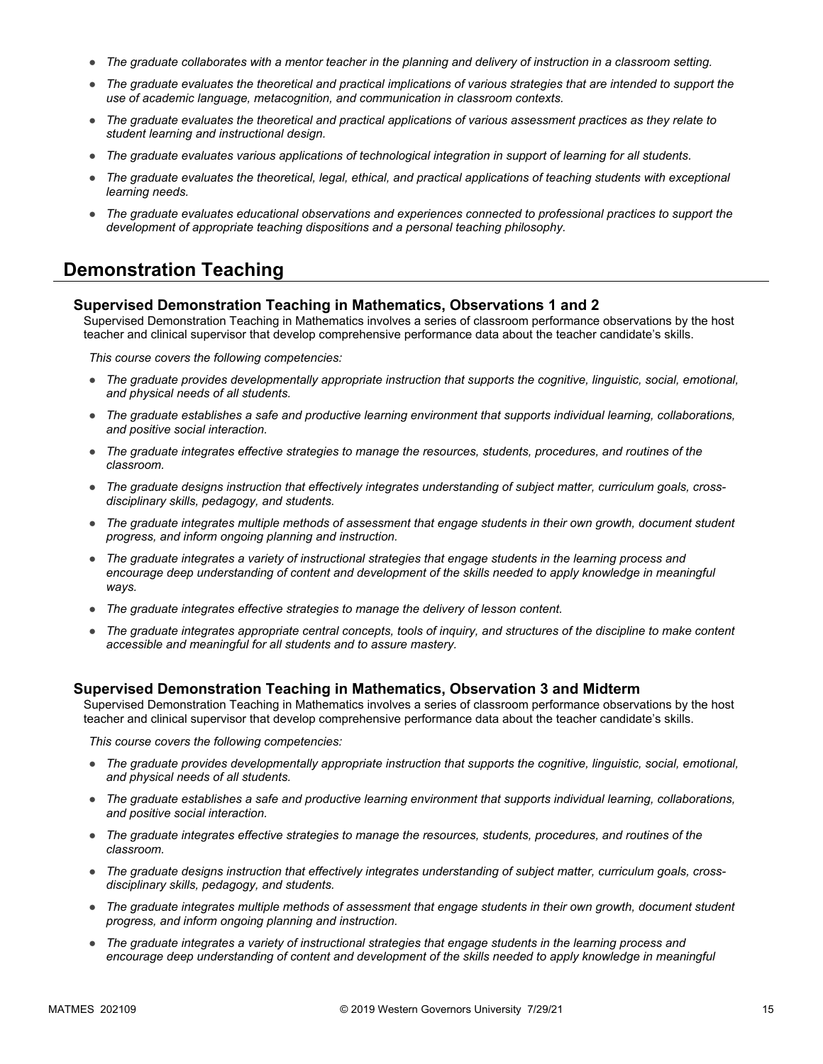- *The graduate collaborates with a mentor teacher in the planning and delivery of instruction in a classroom setting.*
- *The graduate evaluates the theoretical and practical implications of various strategies that are intended to support the use of academic language, metacognition, and communication in classroom contexts.*
- *The graduate evaluates the theoretical and practical applications of various assessment practices as they relate to student learning and instructional design.*
- *The graduate evaluates various applications of technological integration in support of learning for all students.*
- *The graduate evaluates the theoretical, legal, ethical, and practical applications of teaching students with exceptional learning needs.*
- *The graduate evaluates educational observations and experiences connected to professional practices to support the development of appropriate teaching dispositions and a personal teaching philosophy.*

### **Demonstration Teaching**

#### **Supervised Demonstration Teaching in Mathematics, Observations 1 and 2**

Supervised Demonstration Teaching in Mathematics involves a series of classroom performance observations by the host teacher and clinical supervisor that develop comprehensive performance data about the teacher candidate's skills.

*This course covers the following competencies:*

- *The graduate provides developmentally appropriate instruction that supports the cognitive, linguistic, social, emotional, and physical needs of all students.*
- *The graduate establishes a safe and productive learning environment that supports individual learning, collaborations, and positive social interaction.*
- *The graduate integrates effective strategies to manage the resources, students, procedures, and routines of the classroom.*
- *The graduate designs instruction that effectively integrates understanding of subject matter, curriculum goals, crossdisciplinary skills, pedagogy, and students.*
- *The graduate integrates multiple methods of assessment that engage students in their own growth, document student progress, and inform ongoing planning and instruction.*
- *The graduate integrates a variety of instructional strategies that engage students in the learning process and*  encourage deep understanding of content and development of the skills needed to apply knowledge in meaningful *ways.*
- *The graduate integrates effective strategies to manage the delivery of lesson content.*
- *The graduate integrates appropriate central concepts, tools of inquiry, and structures of the discipline to make content accessible and meaningful for all students and to assure mastery.*

#### **Supervised Demonstration Teaching in Mathematics, Observation 3 and Midterm**

Supervised Demonstration Teaching in Mathematics involves a series of classroom performance observations by the host teacher and clinical supervisor that develop comprehensive performance data about the teacher candidate's skills.

- *The graduate provides developmentally appropriate instruction that supports the cognitive, linguistic, social, emotional, and physical needs of all students.*
- *The graduate establishes a safe and productive learning environment that supports individual learning, collaborations, and positive social interaction.*
- *The graduate integrates effective strategies to manage the resources, students, procedures, and routines of the classroom.*
- *The graduate designs instruction that effectively integrates understanding of subject matter, curriculum goals, crossdisciplinary skills, pedagogy, and students.*
- *The graduate integrates multiple methods of assessment that engage students in their own growth, document student progress, and inform ongoing planning and instruction.*
- *The graduate integrates a variety of instructional strategies that engage students in the learning process and*  encourage deep understanding of content and development of the skills needed to apply knowledge in meaningful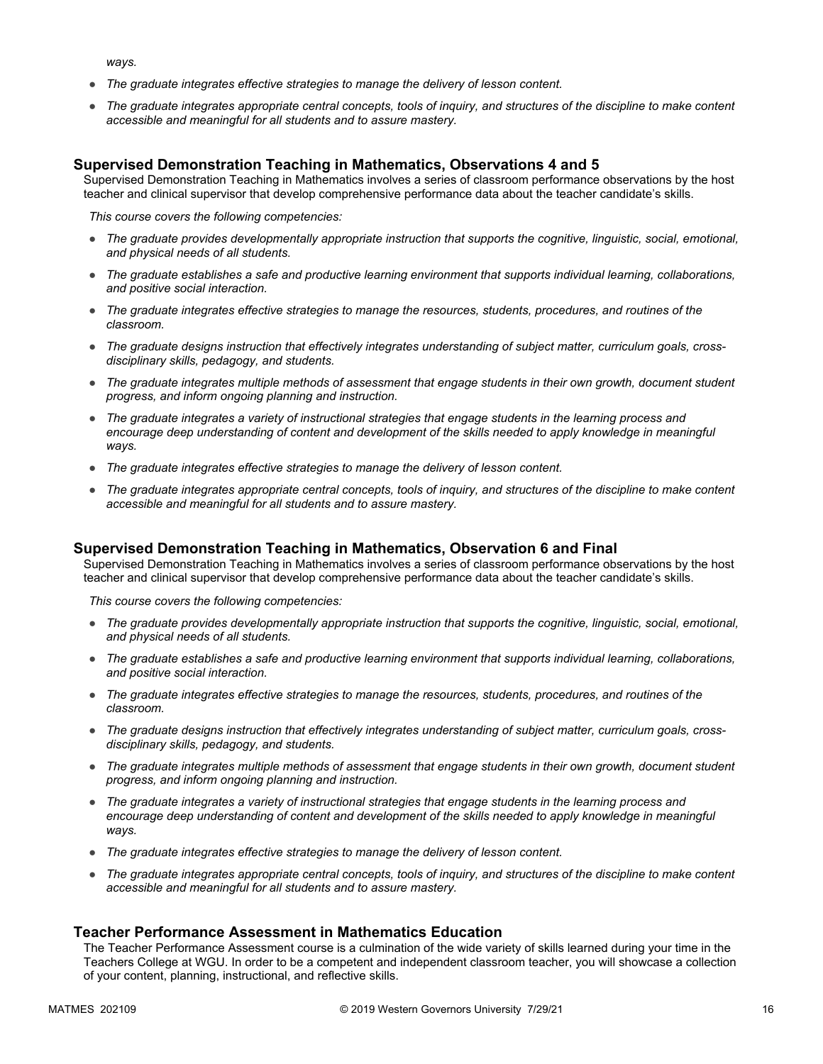*ways.*

- *The graduate integrates effective strategies to manage the delivery of lesson content.*
- *The graduate integrates appropriate central concepts, tools of inquiry, and structures of the discipline to make content accessible and meaningful for all students and to assure mastery.*

#### **Supervised Demonstration Teaching in Mathematics, Observations 4 and 5**

Supervised Demonstration Teaching in Mathematics involves a series of classroom performance observations by the host teacher and clinical supervisor that develop comprehensive performance data about the teacher candidate's skills.

*This course covers the following competencies:*

- *The graduate provides developmentally appropriate instruction that supports the cognitive, linguistic, social, emotional, and physical needs of all students.*
- *The graduate establishes a safe and productive learning environment that supports individual learning, collaborations, and positive social interaction.*
- *The graduate integrates effective strategies to manage the resources, students, procedures, and routines of the classroom.*
- The graduate designs instruction that effectively integrates understanding of subject matter, curriculum goals, cross*disciplinary skills, pedagogy, and students.*
- *The graduate integrates multiple methods of assessment that engage students in their own growth, document student progress, and inform ongoing planning and instruction.*
- *The graduate integrates a variety of instructional strategies that engage students in the learning process and*  encourage deep understanding of content and development of the skills needed to apply knowledge in meaningful *ways.*
- *The graduate integrates effective strategies to manage the delivery of lesson content.*
- *The graduate integrates appropriate central concepts, tools of inquiry, and structures of the discipline to make content accessible and meaningful for all students and to assure mastery.*

#### **Supervised Demonstration Teaching in Mathematics, Observation 6 and Final**

Supervised Demonstration Teaching in Mathematics involves a series of classroom performance observations by the host teacher and clinical supervisor that develop comprehensive performance data about the teacher candidate's skills.

*This course covers the following competencies:*

- *The graduate provides developmentally appropriate instruction that supports the cognitive, linguistic, social, emotional, and physical needs of all students.*
- *The graduate establishes a safe and productive learning environment that supports individual learning, collaborations, and positive social interaction.*
- *The graduate integrates effective strategies to manage the resources, students, procedures, and routines of the classroom.*
- *The graduate designs instruction that effectively integrates understanding of subject matter, curriculum goals, crossdisciplinary skills, pedagogy, and students.*
- *The graduate integrates multiple methods of assessment that engage students in their own growth, document student progress, and inform ongoing planning and instruction.*
- *The graduate integrates a variety of instructional strategies that engage students in the learning process and*  encourage deep understanding of content and development of the skills needed to apply knowledge in meaningful *ways.*
- *The graduate integrates effective strategies to manage the delivery of lesson content.*
- *The graduate integrates appropriate central concepts, tools of inquiry, and structures of the discipline to make content accessible and meaningful for all students and to assure mastery.*

#### **Teacher Performance Assessment in Mathematics Education**

The Teacher Performance Assessment course is a culmination of the wide variety of skills learned during your time in the Teachers College at WGU. In order to be a competent and independent classroom teacher, you will showcase a collection of your content, planning, instructional, and reflective skills.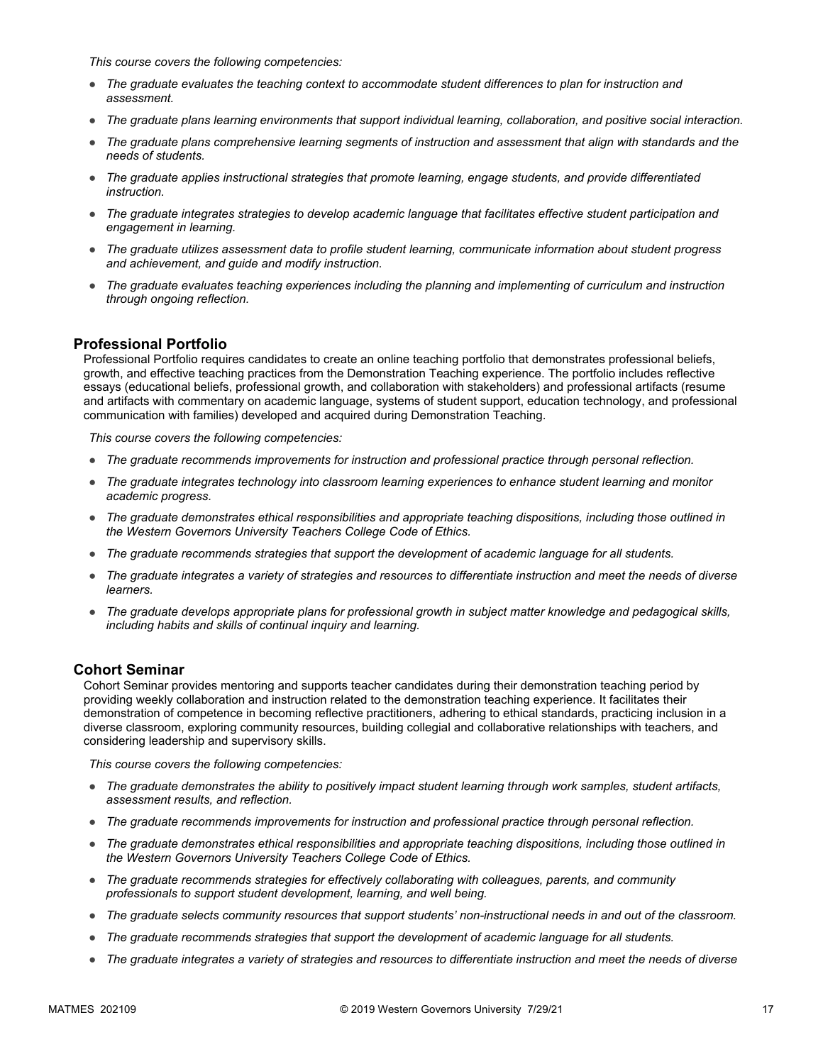*This course covers the following competencies:*

- *The graduate evaluates the teaching context to accommodate student differences to plan for instruction and assessment.*
- *The graduate plans learning environments that support individual learning, collaboration, and positive social interaction.*
- *The graduate plans comprehensive learning segments of instruction and assessment that align with standards and the needs of students.*
- *The graduate applies instructional strategies that promote learning, engage students, and provide differentiated instruction.*
- *The graduate integrates strategies to develop academic language that facilitates effective student participation and engagement in learning.*
- *The graduate utilizes assessment data to profile student learning, communicate information about student progress and achievement, and guide and modify instruction.*
- *The graduate evaluates teaching experiences including the planning and implementing of curriculum and instruction through ongoing reflection.*

#### **Professional Portfolio**

Professional Portfolio requires candidates to create an online teaching portfolio that demonstrates professional beliefs, growth, and effective teaching practices from the Demonstration Teaching experience. The portfolio includes reflective essays (educational beliefs, professional growth, and collaboration with stakeholders) and professional artifacts (resume and artifacts with commentary on academic language, systems of student support, education technology, and professional communication with families) developed and acquired during Demonstration Teaching.

*This course covers the following competencies:*

- *The graduate recommends improvements for instruction and professional practice through personal reflection.*
- *The graduate integrates technology into classroom learning experiences to enhance student learning and monitor academic progress.*
- *The graduate demonstrates ethical responsibilities and appropriate teaching dispositions, including those outlined in the Western Governors University Teachers College Code of Ethics.*
- *The graduate recommends strategies that support the development of academic language for all students.*
- *The graduate integrates a variety of strategies and resources to differentiate instruction and meet the needs of diverse learners.*
- *The graduate develops appropriate plans for professional growth in subject matter knowledge and pedagogical skills, including habits and skills of continual inquiry and learning.*

#### **Cohort Seminar**

Cohort Seminar provides mentoring and supports teacher candidates during their demonstration teaching period by providing weekly collaboration and instruction related to the demonstration teaching experience. It facilitates their demonstration of competence in becoming reflective practitioners, adhering to ethical standards, practicing inclusion in a diverse classroom, exploring community resources, building collegial and collaborative relationships with teachers, and considering leadership and supervisory skills.

- *The graduate demonstrates the ability to positively impact student learning through work samples, student artifacts, assessment results, and reflection.*
- *The graduate recommends improvements for instruction and professional practice through personal reflection.*
- *The graduate demonstrates ethical responsibilities and appropriate teaching dispositions, including those outlined in the Western Governors University Teachers College Code of Ethics.*
- *The graduate recommends strategies for effectively collaborating with colleagues, parents, and community professionals to support student development, learning, and well being.*
- *The graduate selects community resources that support students' non-instructional needs in and out of the classroom.*
- *The graduate recommends strategies that support the development of academic language for all students.*
- *The graduate integrates a variety of strategies and resources to differentiate instruction and meet the needs of diverse*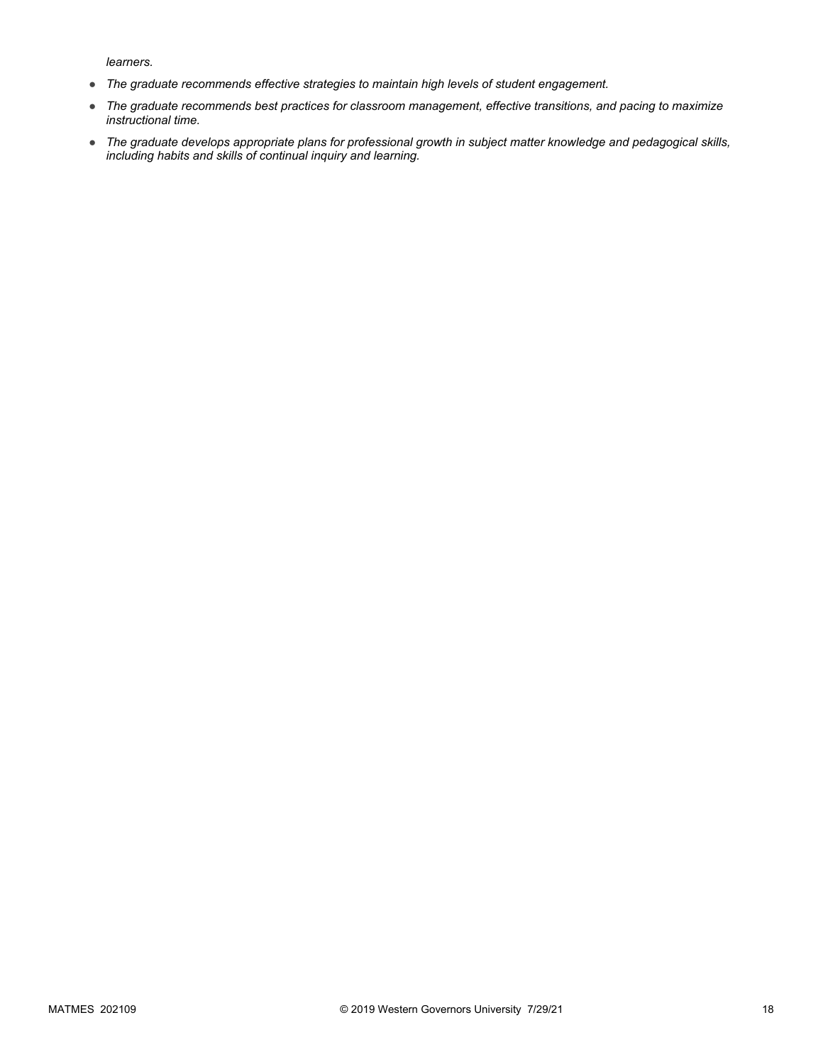*learners.*

- *The graduate recommends effective strategies to maintain high levels of student engagement.*
- *The graduate recommends best practices for classroom management, effective transitions, and pacing to maximize instructional time.*
- *The graduate develops appropriate plans for professional growth in subject matter knowledge and pedagogical skills, including habits and skills of continual inquiry and learning.*